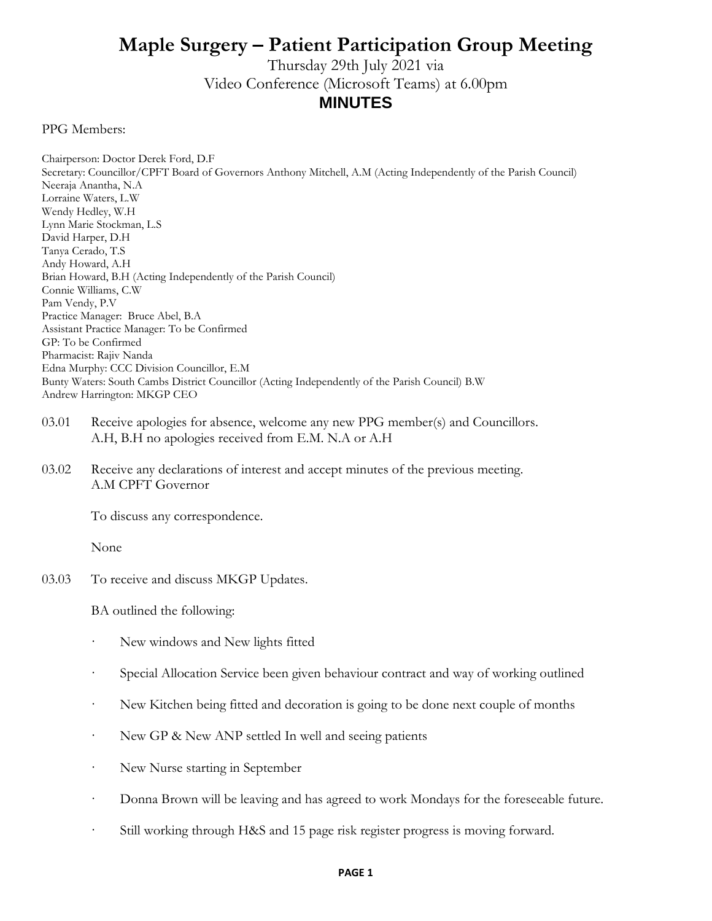## **Maple Surgery – Patient Participation Group Meeting**

Thursday 29th July 2021 via Video Conference (Microsoft Teams) at 6.00pm **MINUTES**

PPG Members:

Chairperson: Doctor Derek Ford, D.F Secretary: Councillor/CPFT Board of Governors Anthony Mitchell, A.M (Acting Independently of the Parish Council) Neeraja Anantha, N.A Lorraine Waters, L.W Wendy Hedley, W.H Lynn Marie Stockman, L.S David Harper, D.H Tanya Cerado, T.S Andy Howard, A.H Brian Howard, B.H (Acting Independently of the Parish Council) Connie Williams, C.W Pam Vendy, P.V Practice Manager: Bruce Abel, B.A Assistant Practice Manager: To be Confirmed GP: To be Confirmed Pharmacist: Rajiv Nanda Edna Murphy: CCC Division Councillor, E.M Bunty Waters: South Cambs District Councillor (Acting Independently of the Parish Council) B.W Andrew Harrington: MKGP CEO

- 03.01 Receive apologies for absence, welcome any new PPG member(s) and Councillors. A.H, B.H no apologies received from E.M. N.A or A.H
- 03.02 Receive any declarations of interest and accept minutes of the previous meeting. A.M CPFT Governor

To discuss any correspondence.

None

03.03 To receive and discuss MKGP Updates.

BA outlined the following:

- New windows and New lights fitted
- Special Allocation Service been given behaviour contract and way of working outlined
- · New Kitchen being fitted and decoration is going to be done next couple of months
- New GP & New ANP settled In well and seeing patients
- · New Nurse starting in September
- · Donna Brown will be leaving and has agreed to work Mondays for the foreseeable future.
- · Still working through H&S and 15 page risk register progress is moving forward.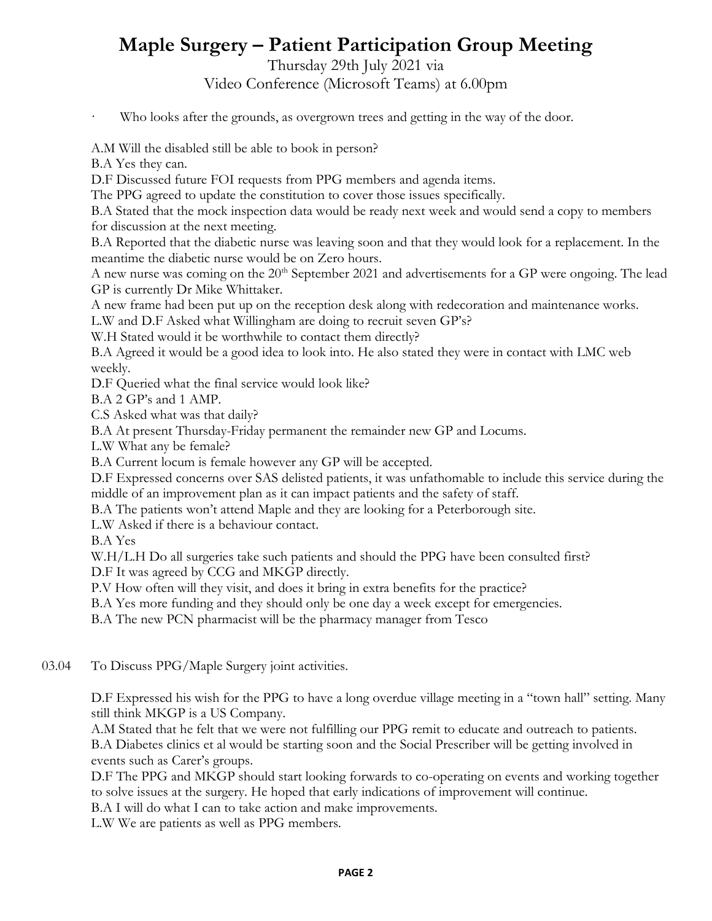## **Maple Surgery – Patient Participation Group Meeting**

Thursday 29th July 2021 via

Video Conference (Microsoft Teams) at 6.00pm

Who looks after the grounds, as overgrown trees and getting in the way of the door.

A.M Will the disabled still be able to book in person?

B.A Yes they can.

D.F Discussed future FOI requests from PPG members and agenda items.

The PPG agreed to update the constitution to cover those issues specifically.

B.A Stated that the mock inspection data would be ready next week and would send a copy to members for discussion at the next meeting.

B.A Reported that the diabetic nurse was leaving soon and that they would look for a replacement. In the meantime the diabetic nurse would be on Zero hours.

A new nurse was coming on the 20<sup>th</sup> September 2021 and advertisements for a GP were ongoing. The lead GP is currently Dr Mike Whittaker.

A new frame had been put up on the reception desk along with redecoration and maintenance works.

L.W and D.F Asked what Willingham are doing to recruit seven GP's?

W.H Stated would it be worthwhile to contact them directly?

B.A Agreed it would be a good idea to look into. He also stated they were in contact with LMC web weekly.

D.F Queried what the final service would look like?

B.A 2 GP's and 1 AMP.

C.S Asked what was that daily?

B.A At present Thursday-Friday permanent the remainder new GP and Locums.

L.W What any be female?

B.A Current locum is female however any GP will be accepted.

D.F Expressed concerns over SAS delisted patients, it was unfathomable to include this service during the middle of an improvement plan as it can impact patients and the safety of staff.

B.A The patients won't attend Maple and they are looking for a Peterborough site.

L.W Asked if there is a behaviour contact.

B.A Yes

W.H/L.H Do all surgeries take such patients and should the PPG have been consulted first?

D.F It was agreed by CCG and MKGP directly.

P.V How often will they visit, and does it bring in extra benefits for the practice?

B.A Yes more funding and they should only be one day a week except for emergencies.

B.A The new PCN pharmacist will be the pharmacy manager from Tesco

03.04 To Discuss PPG/Maple Surgery joint activities.

> D.F Expressed his wish for the PPG to have a long overdue village meeting in a "town hall" setting. Many still think MKGP is a US Company.

A.M Stated that he felt that we were not fulfilling our PPG remit to educate and outreach to patients. B.A Diabetes clinics et al would be starting soon and the Social Prescriber will be getting involved in events such as Carer's groups.

D.F The PPG and MKGP should start looking forwards to co-operating on events and working together to solve issues at the surgery. He hoped that early indications of improvement will continue.

B.A I will do what I can to take action and make improvements.

L.W We are patients as well as PPG members.